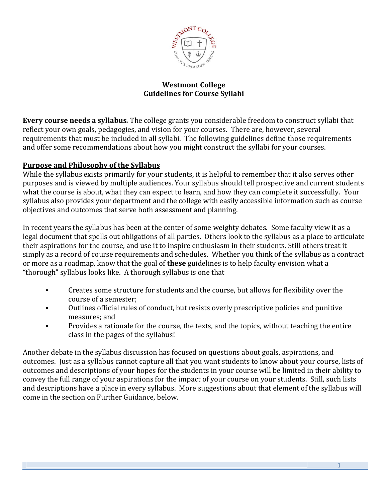

## **Westmont College Guidelines for Course Syllabi**

**Every course needs a syllabus***.* The college grants you considerable freedom to construct syllabi that reflect your own goals, pedagogies, and vision for your courses. There are, however, several requirements that must be included in all syllabi. The following guidelines define those requirements and offer some recommendations about how you might construct the syllabi for your courses.

## **Purpose and Philosophy of the Syllabus**

While the syllabus exists primarily for your students, it is helpful to remember that it also serves other purposes and is viewed by multiple audiences. Your syllabus should tell prospective and current students what the course is about, what they can expect to learn, and how they can complete it successfully. Your syllabus also provides your department and the college with easily accessible information such as course objectives and outcomes that serve both assessment and planning.

In recent years the syllabus has been at the center of some weighty debates. Some faculty view it as a legal document that spells out obligations of all parties. Others look to the syllabus as a place to articulate their aspirations for the course, and use it to inspire enthusiasm in their students. Still others treat it simply as a record of course requirements and schedules. Whether you think of the syllabus as a contract or more as a roadmap, know that the goal of **these** guidelines is to help faculty envision what a "thorough" syllabus looks like. A thorough syllabus is one that

- Creates some structure for students and the course, but allows for flexibility over the course of a semester;
- Outlines official rules of conduct, but resists overly prescriptive policies and punitive measures; and
- Provides a rationale for the course, the texts, and the topics, without teaching the entire class in the pages of the syllabus!

Another debate in the syllabus discussion has focused on questions about goals, aspirations, and outcomes. Just as a syllabus cannot capture all that you want students to know about your course, lists of outcomes and descriptions of your hopes for the students in your course will be limited in their ability to convey the full range of your aspirations for the impact of your course on your students. Still, such lists and descriptions have a place in every syllabus. More suggestions about that element of the syllabus will come in the section on Further Guidance, below.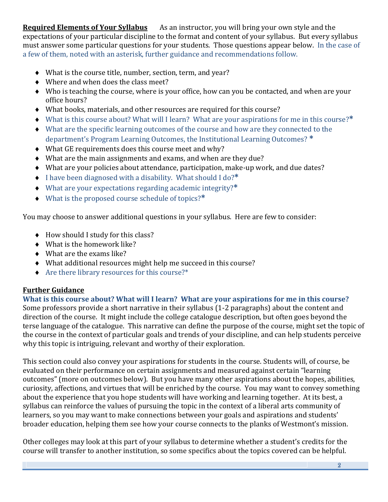**Required Elements of Your Syllabus** As an instructor, you will bring your own style and the expectations of your particular discipline to the format and content of your syllabus. But every syllabus must answer some particular questions for your students. Those questions appear below. In the case of a few of them, noted with an asterisk, further guidance and recommendations follow.

- What is the course title, number, section, term, and year?
- ◆ Where and when does the class meet?
- Who is teaching the course, where is your office, how can you be contacted, and when are your office hours?
- What books, materials, and other resources are required for this course?
- What is this course about? What will I learn? What are your aspirations for me in this course?**\***
- What are the specific learning outcomes of the course and how are they connected to the department's Program Learning Outcomes, the Institutional Learning Outcomes? **\***
- What GE requirements does this course meet and why?
- What are the main assignments and exams, and when are they due?
- What are your policies about attendance, participation, make-up work, and due dates?
- I have been diagnosed with a disability. What should I do?**\***
- What are your expectations regarding academic integrity?**\***
- What is the proposed course schedule of topics?**\***

You may choose to answer additional questions in your syllabus. Here are few to consider:

- $\triangleleft$  How should I study for this class?
- What is the homework like?
- What are the exams like?
- What additional resources might help me succeed in this course?
- Are there library resources for this course?\*

# **Further Guidance**

**What is this course about? What will I learn? What are your aspirations for me in this course?** Some professors provide a short narrative in their syllabus (1-2 paragraphs) about the content and direction of the course. It might include the college catalogue description, but often goes beyond the terse language of the catalogue. This narrative can define the purpose of the course, might set the topic of the course in the context of particular goals and trends of your discipline, and can help students perceive why this topic is intriguing, relevant and worthy of their exploration.

This section could also convey your aspirations for students in the course. Students will, of course, be evaluated on their performance on certain assignments and measured against certain "learning outcomes" (more on outcomes below). But you have many other aspirations about the hopes, abilities, curiosity, affections, and virtues that will be enriched by the course. You may want to convey something about the experience that you hope students will have working and learning together. At its best, a syllabus can reinforce the values of pursuing the topic in the context of a liberal arts community of learners, so you may want to make connections between your goals and aspirations and students' broader education, helping them see how your course connects to the planks of Westmont's mission.

Other colleges may look at this part of your syllabus to determine whether a student's credits for the course will transfer to another institution, so some specifics about the topics covered can be helpful.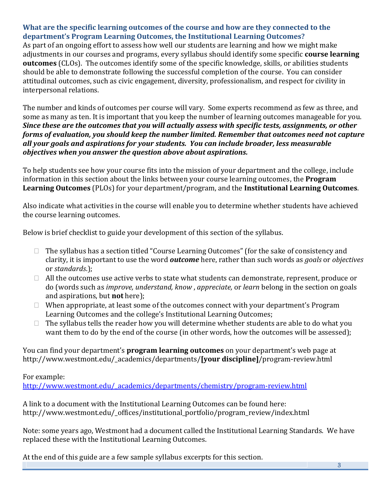# **What are the specific learning outcomes of the course and how are they connected to the department's Program Learning Outcomes, the Institutional Learning Outcomes?**

As part of an ongoing effort to assess how well our students are learning and how we might make adjustments in our courses and programs, every syllabus should identify some specific **course learning outcomes** (CLOs). The outcomes identify some of the specific knowledge, skills, or abilities students should be able to demonstrate following the successful completion of the course. You can consider attitudinal outcomes, such as civic engagement, diversity, professionalism, and respect for civility in interpersonal relations.

The number and kinds of outcomes per course will vary. Some experts recommend as few as three, and some as many as ten. It is important that you keep the number of learning outcomes manageable for you. *Since these are the outcomes that you will actually assess with specific tests, assignments, or other forms of evaluation, you should keep the number limited. Remember that outcomes need not capture all your goals and aspirations for your students. You can include broader, less measurable objectives when you answer the question above about aspirations.*

To help students see how your course fits into the mission of your department and the college, include information in this section about the links between your course learning outcomes, the **Program Learning Outcomes** (PLOs) for your department/program, and the **Institutional Learning Outcomes**.

Also indicate what activities in the course will enable you to determine whether students have achieved the course learning outcomes.

Below is brief checklist to guide your development of this section of the syllabus.

- $\Box$  The syllabus has a section titled "Course Learning Outcomes" (for the sake of consistency and clarity, it is important to use the word *outcome* here, rather than such words as *goals* or *objectives* or *standards*.);
- $\Box$  All the outcomes use active verbs to state what students can demonstrate, represent, produce or do (words such as *improve, understand, know* , *appreciate,* or *learn* belong in the section on goals and aspirations, but **not** here);
- $\Box$  When appropriate, at least some of the outcomes connect with your department's Program Learning Outcomes and the college's Institutional Learning Outcomes;
- $\Box$  The syllabus tells the reader how you will determine whether students are able to do what you want them to do by the end of the course (in other words, how the outcomes will be assessed);

You can find your department's **program learning outcomes** on your department's web page at http://www.westmont.edu/\_academics/departments/**[your discipline]**/program-review.html

For example:

[http://www.westmont.edu/\\_academics/departments/chemistry/program-review.html](http://www.westmont.edu/_academics/departments/chemistry/program-review.html)

A link to a document with the Institutional Learning Outcomes can be found here: http://www.westmont.edu/\_offices/institutional\_portfolio/program\_review/index.html

Note: some years ago, Westmont had a document called the Institutional Learning Standards. We have replaced these with the Institutional Learning Outcomes.

 $3<sup>3</sup>$ At the end of this guide are a few sample syllabus excerpts for this section.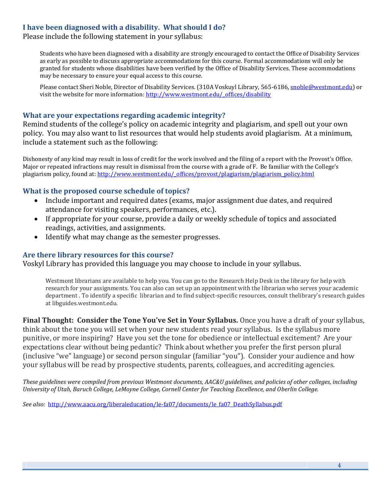## **I have been diagnosed with a disability. What should I do?**

Please include the following statement in your syllabus:

Students who have been diagnosed with a disability are strongly encouraged to contact the Office of Disability Services as early as possible to discuss appropriate accommodations for this course. Formal accommodations will only be granted for students whose disabilities have been verified by the Office of Disability Services. These accommodations may be necessary to ensure your equal access to this course.

Please contact Sheri Noble, Director of Disability Services. (310A Voskuyl Library, 565-6186[, snoble@westmont.edu\)](mailto:snoble@westmont.edu) or visit the website for more information[: http://www.westmont.edu/\\_offices/disability](http://www.westmont.edu/_offices/disability)

### **What are your expectations regarding academic integrity?**

Remind students of the college's policy on academic integrity and plagiarism, and spell out your own policy. You may also want to list resources that would help students avoid plagiarism. At a minimum, include a statement such as the following:

Dishonesty of any kind may result in loss of credit for the work involved and the filing of a report with the Provost's Office. Major or repeated infractions may result in dismissal from the course with a grade of F. Be familiar with the College's plagiarism policy, found at: [http://www.westmont.edu/\\_offices/provost/plagiarism/plagiarism\\_policy.html](http://www.westmont.edu/_offices/provost/plagiarism/plagiarism_policy.html)

### **What is the proposed course schedule of topics?**

- Include important and required dates (exams, major assignment due dates, and required attendance for visiting speakers, performances, etc.).
- If appropriate for your course, provide a daily or weekly schedule of topics and associated readings, activities, and assignments.
- Identify what may change as the semester progresses.

#### **Are there library resources for this course?**

Voskyl Library has provided this language you may choose to include in your syllabus.

Westmont librarians are available to help you. You can go to the Research Help Desk in the library for help with research for your assignments. You can also can set up an appointment with the librarian who serves your academic department . To identify a specific librarian and to find subject-specific resources, consult thelibrary's research guides at libguides.westmont.edu.

**Final Thought: Consider the Tone You've Set in Your Syllabus.** Once you have a draft of your syllabus, think about the tone you will set when your new students read your syllabus. Is the syllabus more punitive, or more inspiring? Have you set the tone for obedience or intellectual excitement? Are your expectations clear without being pedantic? Think about whether you prefer the first person plural (inclusive "we" language) or second person singular (familiar "you"). Consider your audience and how your syllabus will be read by prospective students, parents, colleagues, and accrediting agencies.

*These guidelines were compiled from previous Westmont documents, AAC&U guidelines, and policies of other colleges, including University of Utah, Baruch College, LeMoyne College, Cornell Center for Teaching Excellence, and Oberlin College.* 

*See also:* [http://www.aacu.org/liberaleducation/le-fa07/documents/le\\_fa07\\_DeathSyllabus.pdf](http://www.aacu.org/liberaleducation/le-fa07/documents/le_fa07_DeathSyllabus.pdf)